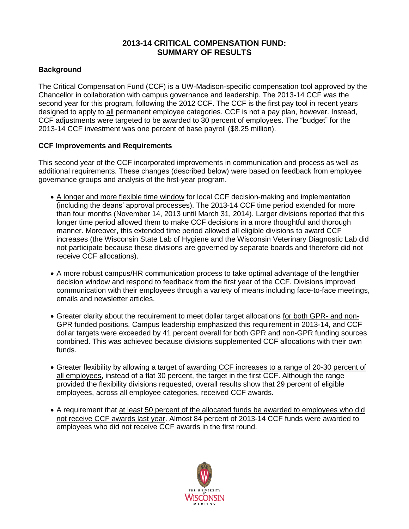### **2013-14 CRITICAL COMPENSATION FUND: SUMMARY OF RESULTS**

### **Background**

The Critical Compensation Fund (CCF) is a UW-Madison-specific compensation tool approved by the Chancellor in collaboration with campus governance and leadership. The 2013-14 CCF was the second year for this program, following the 2012 CCF. The CCF is the first pay tool in recent years designed to apply to all permanent employee categories. CCF is not a pay plan, however. Instead, CCF adjustments were targeted to be awarded to 30 percent of employees. The "budget" for the 2013-14 CCF investment was one percent of base payroll (\$8.25 million).

#### **CCF Improvements and Requirements**

This second year of the CCF incorporated improvements in communication and process as well as additional requirements. These changes (described below) were based on feedback from employee governance groups and analysis of the first-year program.

- A longer and more flexible time window for local CCF decision-making and implementation (including the deans' approval processes). The 2013-14 CCF time period extended for more than four months (November 14, 2013 until March 31, 2014). Larger divisions reported that this longer time period allowed them to make CCF decisions in a more thoughtful and thorough manner. Moreover, this extended time period allowed all eligible divisions to award CCF increases (the Wisconsin State Lab of Hygiene and the Wisconsin Veterinary Diagnostic Lab did not participate because these divisions are governed by separate boards and therefore did not receive CCF allocations).
- A more robust campus/HR communication process to take optimal advantage of the lengthier decision window and respond to feedback from the first year of the CCF. Divisions improved communication with their employees through a variety of means including face-to-face meetings, emails and newsletter articles.
- Greater clarity about the requirement to meet dollar target allocations for both GPR- and non-GPR funded positions. Campus leadership emphasized this requirement in 2013-14, and CCF dollar targets were exceeded by 41 percent overall for both GPR and non-GPR funding sources combined. This was achieved because divisions supplemented CCF allocations with their own funds.
- Greater flexibility by allowing a target of awarding CCF increases to a range of 20-30 percent of all employees, instead of a flat 30 percent, the target in the first CCF. Although the range provided the flexibility divisions requested, overall results show that 29 percent of eligible employees, across all employee categories, received CCF awards.
- A requirement that at least 50 percent of the allocated funds be awarded to employees who did not receive CCF awards last year. Almost 84 percent of 2013-14 CCF funds were awarded to employees who did not receive CCF awards in the first round.

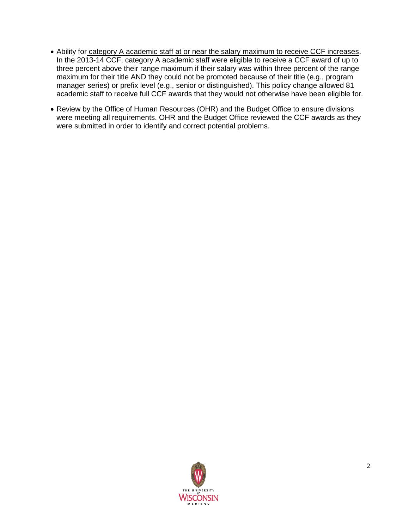- Ability for category A academic staff at or near the salary maximum to receive CCF increases. In the 2013-14 CCF, category A academic staff were eligible to receive a CCF award of up to three percent above their range maximum if their salary was within three percent of the range maximum for their title AND they could not be promoted because of their title (e.g., program manager series) or prefix level (e.g., senior or distinguished). This policy change allowed 81 academic staff to receive full CCF awards that they would not otherwise have been eligible for.
- Review by the Office of Human Resources (OHR) and the Budget Office to ensure divisions were meeting all requirements. OHR and the Budget Office reviewed the CCF awards as they were submitted in order to identify and correct potential problems.

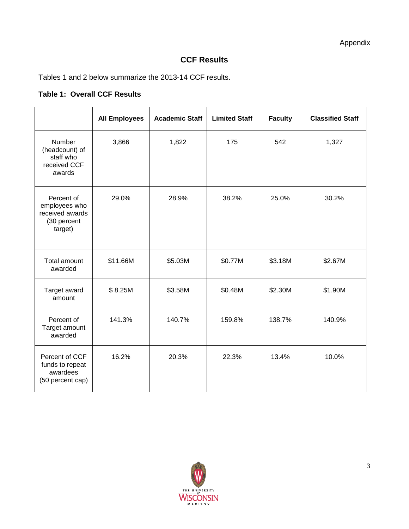# **CCF Results**

Tables 1 and 2 below summarize the 2013-14 CCF results.

## **Table 1: Overall CCF Results**

|                                                                          | <b>All Employees</b> | <b>Academic Staff</b> | <b>Limited Staff</b> | <b>Faculty</b> | <b>Classified Staff</b> |
|--------------------------------------------------------------------------|----------------------|-----------------------|----------------------|----------------|-------------------------|
| <b>Number</b><br>(headcount) of<br>staff who<br>received CCF<br>awards   | 3,866                | 1,822                 | 175                  | 542            | 1,327                   |
| Percent of<br>employees who<br>received awards<br>(30 percent<br>target) | 29.0%                | 28.9%                 | 38.2%                | 25.0%          | 30.2%                   |
| Total amount<br>awarded                                                  | \$11.66M             | \$5.03M               | \$0.77M              | \$3.18M        | \$2.67M                 |
| Target award<br>amount                                                   | \$8.25M              | \$3.58M               | \$0.48M              | \$2.30M        | \$1.90M                 |
| Percent of<br>Target amount<br>awarded                                   | 141.3%               | 140.7%                | 159.8%               | 138.7%         | 140.9%                  |
| Percent of CCF<br>funds to repeat<br>awardees<br>(50 percent cap)        | 16.2%                | 20.3%                 | 22.3%                | 13.4%          | 10.0%                   |